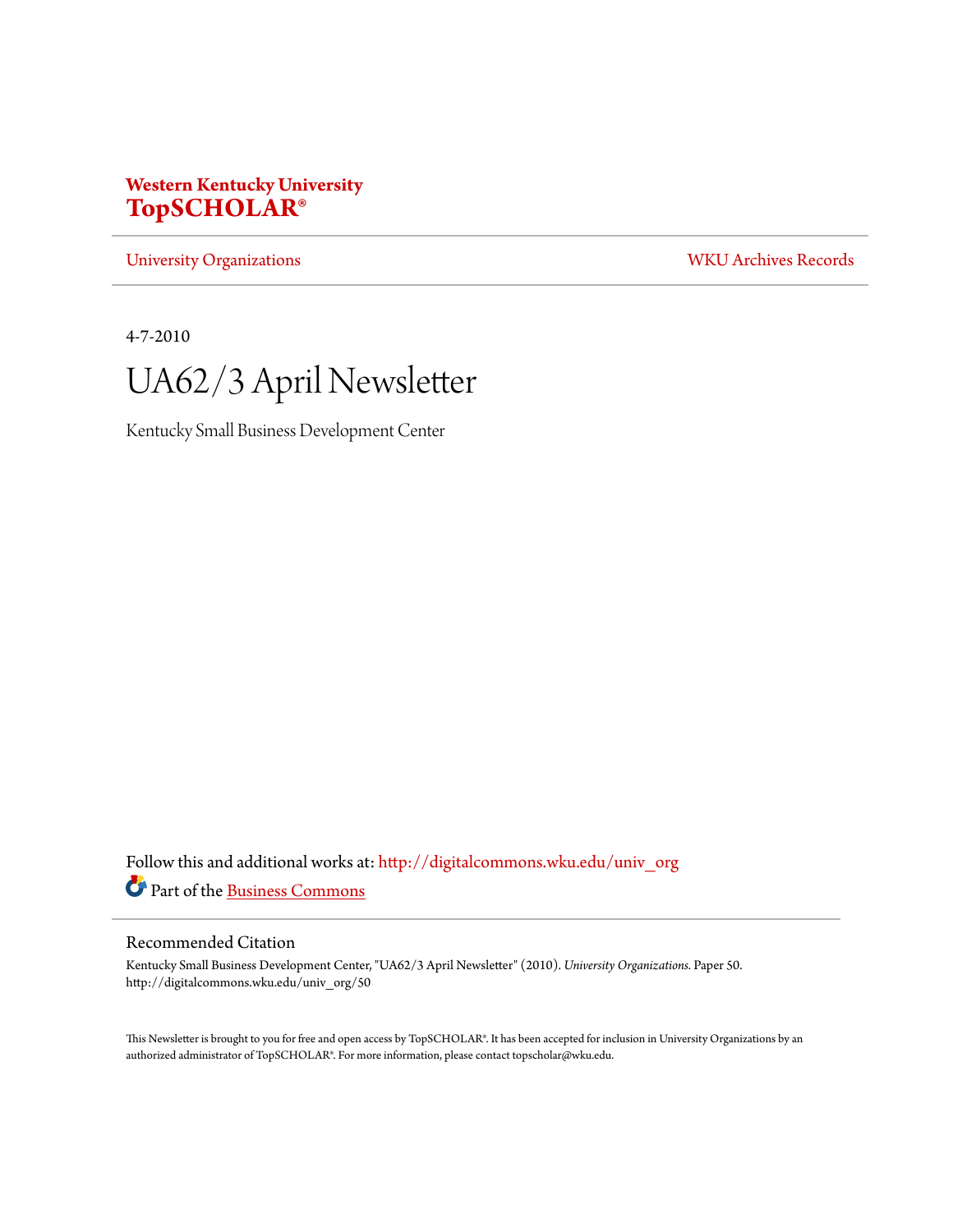# **Western Kentucky University [TopSCHOLAR®](http://digitalcommons.wku.edu?utm_source=digitalcommons.wku.edu%2Funiv_org%2F50&utm_medium=PDF&utm_campaign=PDFCoverPages)**

[University Organizations](http://digitalcommons.wku.edu/univ_org?utm_source=digitalcommons.wku.edu%2Funiv_org%2F50&utm_medium=PDF&utm_campaign=PDFCoverPages) [WKU Archives Records](http://digitalcommons.wku.edu/dlsc_ua_records?utm_source=digitalcommons.wku.edu%2Funiv_org%2F50&utm_medium=PDF&utm_campaign=PDFCoverPages)

4-7-2010



Kentucky Small Business Development Center

Follow this and additional works at: [http://digitalcommons.wku.edu/univ\\_org](http://digitalcommons.wku.edu/univ_org?utm_source=digitalcommons.wku.edu%2Funiv_org%2F50&utm_medium=PDF&utm_campaign=PDFCoverPages) Part of the [Business Commons](http://network.bepress.com/hgg/discipline/622?utm_source=digitalcommons.wku.edu%2Funiv_org%2F50&utm_medium=PDF&utm_campaign=PDFCoverPages)

# Recommended Citation

Kentucky Small Business Development Center, "UA62/3 April Newsletter" (2010). *University Organizations.* Paper 50. http://digitalcommons.wku.edu/univ\_org/50

This Newsletter is brought to you for free and open access by TopSCHOLAR®. It has been accepted for inclusion in University Organizations by an authorized administrator of TopSCHOLAR®. For more information, please contact topscholar@wku.edu.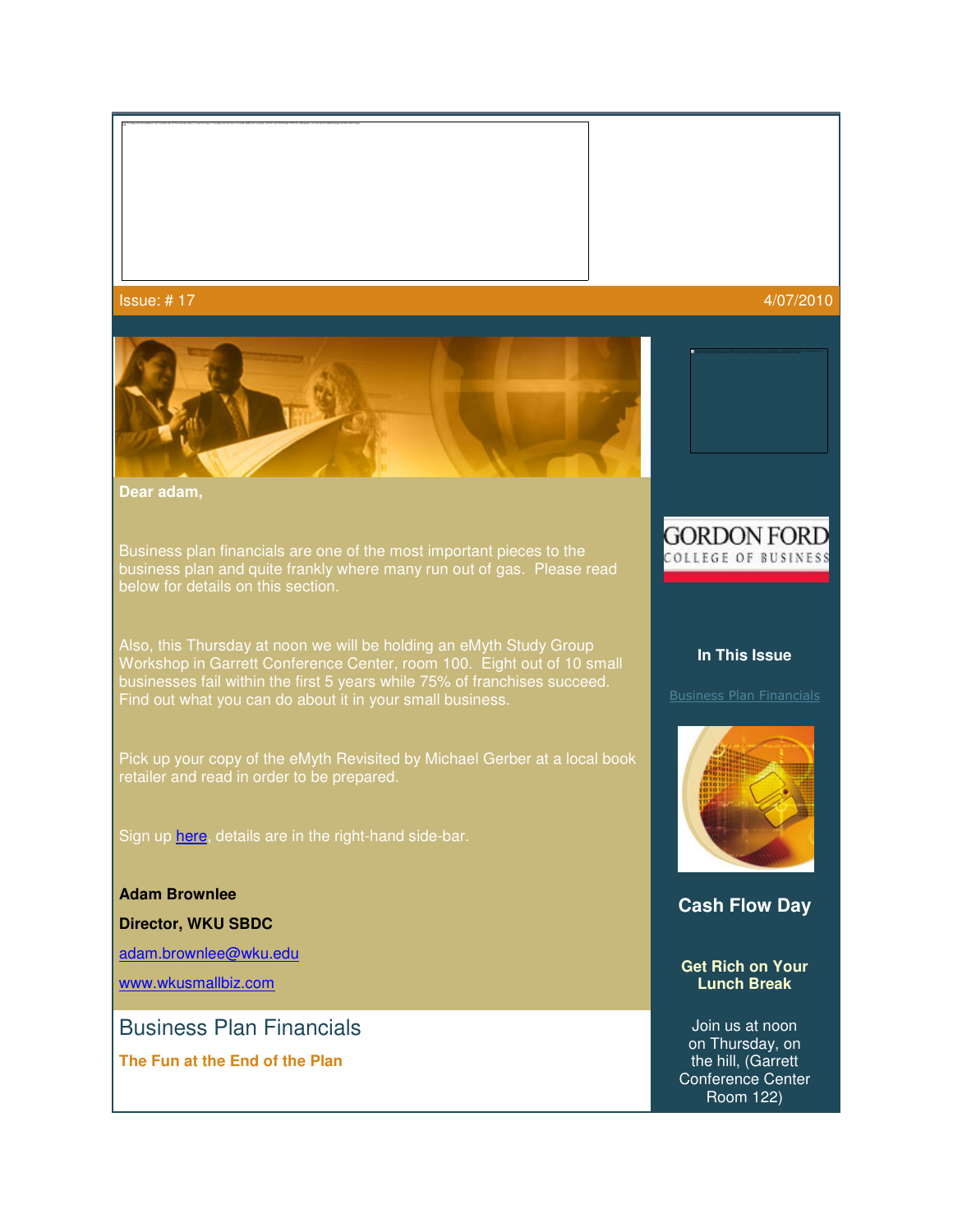# ${\sf Issue:} \ \# \ 17 \hspace{24pt} 4/07/2010$



**Dear adam,**

Business plan financials are one of the most important pieces to the business plan and quite frankly where many run out of gas. Please read below for details on this section.

Also, this Thursday at noon we will be holding an eMyth Study Group Workshop in Garrett Conference Center, room 100. Eight out of 10 small businesses fail within the first 5 years while 75% of franchises succeed. Find out what you can do about it in your small business.

Pick up your copy of the eMyth Revisited by Michael Gerber at a local book retailer and read in order to be prepared.

Sign up here, details are in the right-hand side-bar.

**Adam Brownlee**

**Director, WKU SBDC**

adam.brownlee@wku.edu

www.wkusmallbiz.com

Business Plan Financials

**The Fun at the End of the Plan**

# **GORDON FORD** COLLEGE OF BUSINESS

## **In This Issue**



**Cash Flow Day** 

**Get Rich on Your Lunch Break**

Join us at noon on Thursday, on the hill, (Garrett Conference Center Room 122)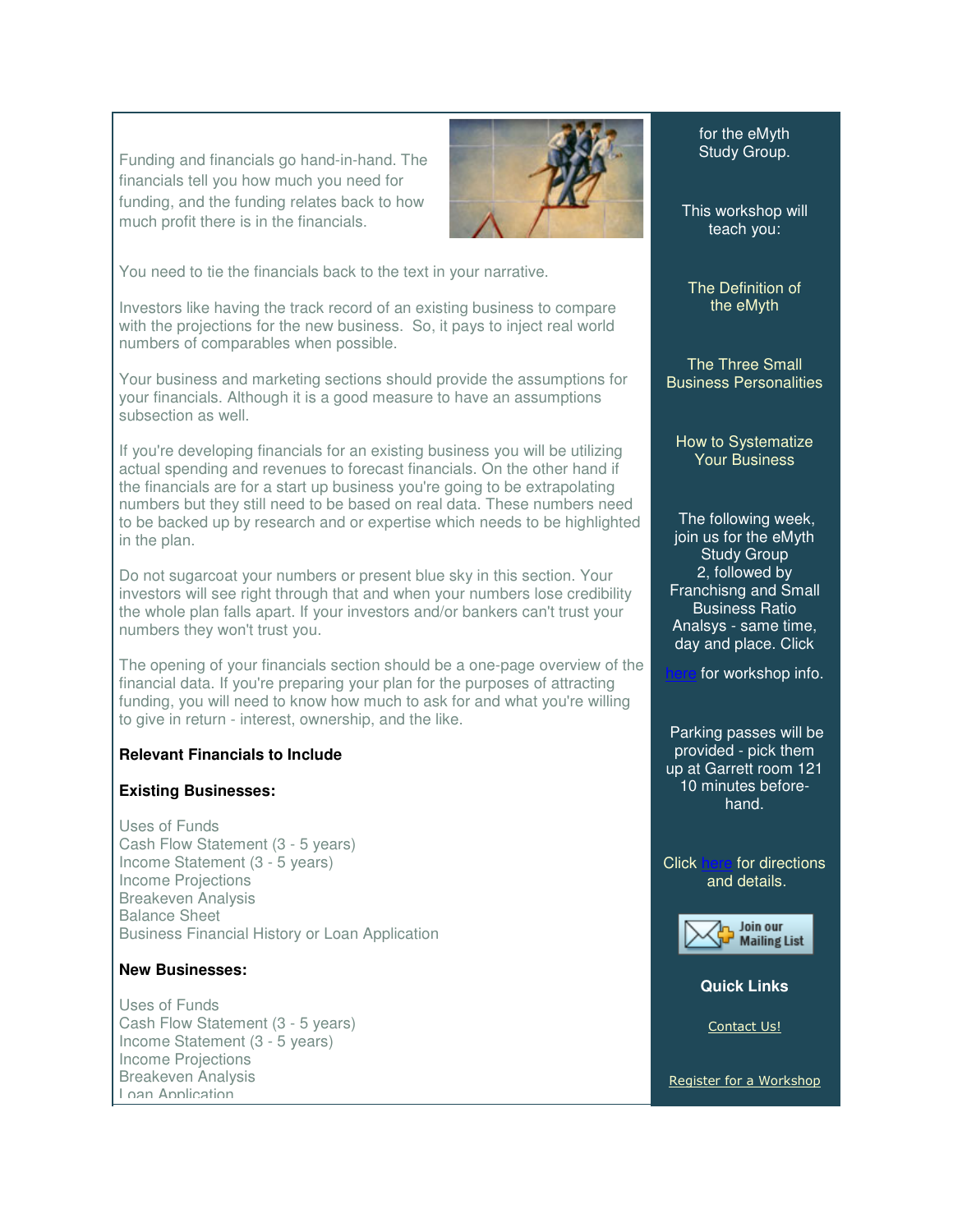Funding and financials go hand-in-hand. The financials tell you how much you need for funding, and the funding relates back to how much profit there is in the financials.



You need to tie the financials back to the text in your narrative.

Investors like having the track record of an existing business to compare with the projections for the new business. So, it pays to inject real world numbers of comparables when possible.

Your business and marketing sections should provide the assumptions for your financials. Although it is a good measure to have an assumptions subsection as well.

If you're developing financials for an existing business you will be utilizing actual spending and revenues to forecast financials. On the other hand if the financials are for a start up business you're going to be extrapolating numbers but they still need to be based on real data. These numbers need to be backed up by research and or expertise which needs to be highlighted in the plan.

Do not sugarcoat your numbers or present blue sky in this section. Your investors will see right through that and when your numbers lose credibility the whole plan falls apart. If your investors and/or bankers can't trust your numbers they won't trust you.

The opening of your financials section should be a one-page overview of the financial data. If you're preparing your plan for the purposes of attracting funding, you will need to know how much to ask for and what you're willing to give in return - interest, ownership, and the like.

## **Relevant Financials to Include**

#### **Existing Businesses:**

Uses of Funds Cash Flow Statement (3 - 5 years) Income Statement (3 - 5 years) Income Projections Breakeven Analysis Balance Sheet Business Financial History or Loan Application

#### **New Businesses:**

Uses of Funds Cash Flow Statement (3 - 5 years) Income Statement (3 - 5 years) Income Projections Breakeven Analysis Loan Application

for the eMyth Study Group.

This workshop will teach you:

The Definition of the eMyth

The Three Small Business Personalities

How to Systematize Your Business

 The following week, join us for the eMyth Study Group 2, followed by Franchisng and Small Business Ratio Analsys - same time, day and place. Click

for workshop info.

 Parking passes will be provided - pick them up at Garrett room 121 10 minutes beforehand.

Click here for directions and details.



#### **Quick Links**

Contact Us!

Register for a Workshop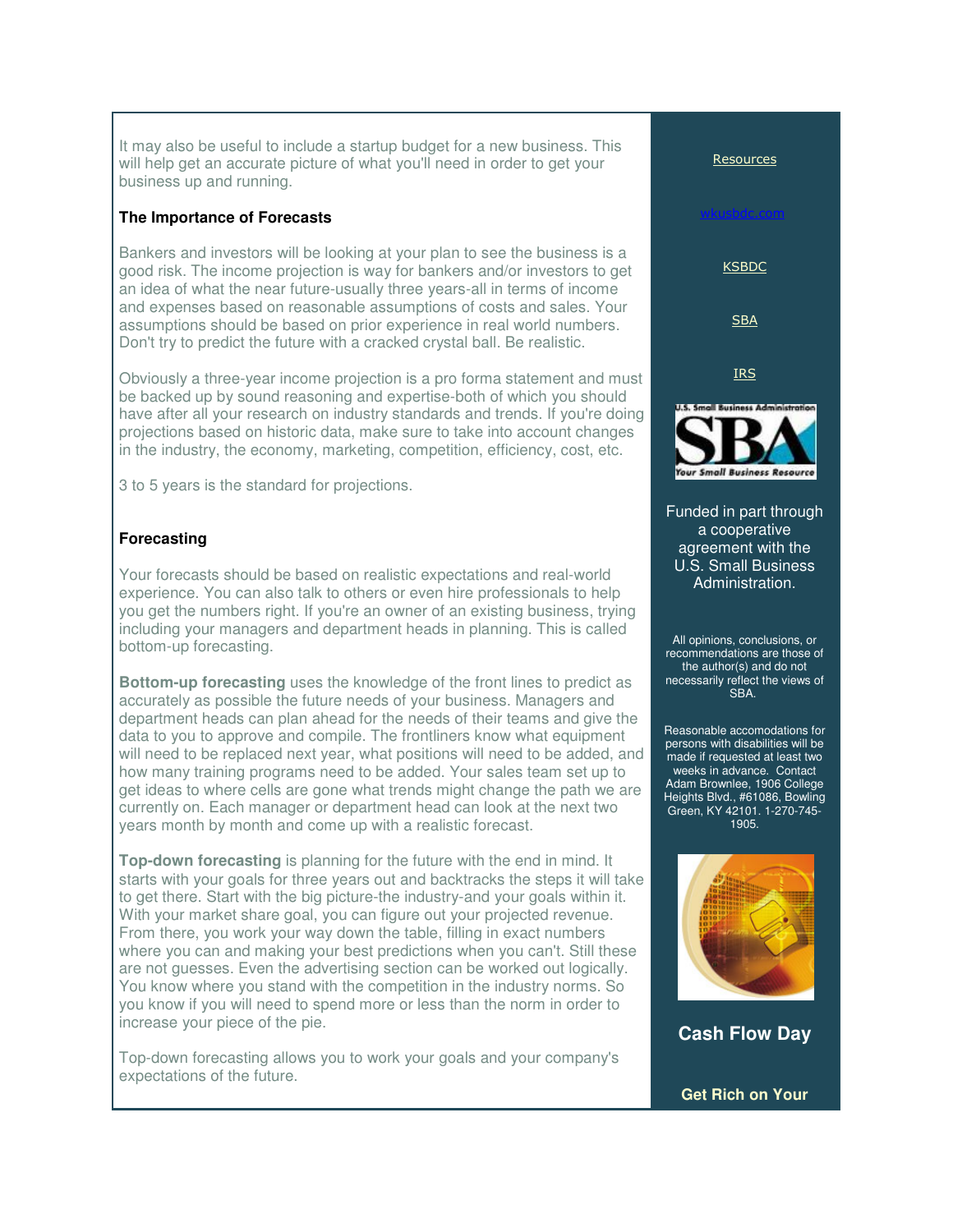It may also be useful to include a startup budget for a new business. This will help get an accurate picture of what you'll need in order to get your business up and running.

# **The Importance of Forecasts**

Bankers and investors will be looking at your plan to see the business is a good risk. The income projection is way for bankers and/or investors to get an idea of what the near future-usually three years-all in terms of income and expenses based on reasonable assumptions of costs and sales. Your assumptions should be based on prior experience in real world numbers. Don't try to predict the future with a cracked crystal ball. Be realistic.

Obviously a three-year income projection is a pro forma statement and must be backed up by sound reasoning and expertise-both of which you should have after all your research on industry standards and trends. If you're doing projections based on historic data, make sure to take into account changes in the industry, the economy, marketing, competition, efficiency, cost, etc.

3 to 5 years is the standard for projections.

# **Forecasting**

Your forecasts should be based on realistic expectations and real-world experience. You can also talk to others or even hire professionals to help you get the numbers right. If you're an owner of an existing business, trying including your managers and department heads in planning. This is called bottom-up forecasting.

**Bottom-up forecasting** uses the knowledge of the front lines to predict as accurately as possible the future needs of your business. Managers and department heads can plan ahead for the needs of their teams and give the data to you to approve and compile. The frontliners know what equipment will need to be replaced next year, what positions will need to be added, and how many training programs need to be added. Your sales team set up to get ideas to where cells are gone what trends might change the path we are currently on. Each manager or department head can look at the next two years month by month and come up with a realistic forecast.

**Top-down forecasting** is planning for the future with the end in mind. It starts with your goals for three years out and backtracks the steps it will take to get there. Start with the big picture-the industry-and your goals within it. With your market share goal, you can figure out your projected revenue. From there, you work your way down the table, filling in exact numbers where you can and making your best predictions when you can't. Still these are not guesses. Even the advertising section can be worked out logically. You know where you stand with the competition in the industry norms. So you know if you will need to spend more or less than the norm in order to increase your piece of the pie.

Top-down forecasting allows you to work your goals and your company's expectations of the future.



**Get Rich on Your**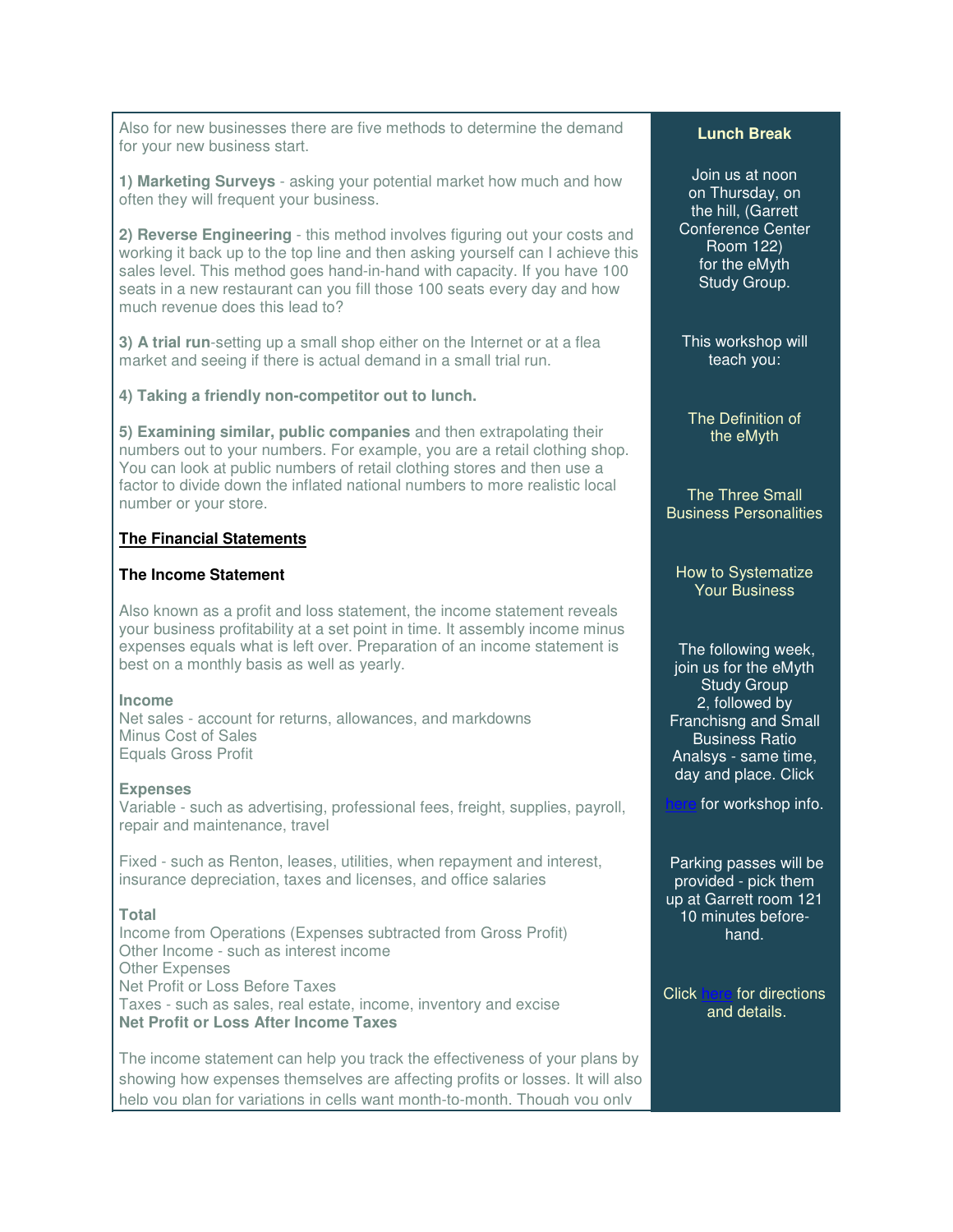Also for new businesses there are five methods to determine the demand for your new business start.

**1) Marketing Surveys** - asking your potential market how much and how often they will frequent your business.

**2) Reverse Engineering** - this method involves figuring out your costs and working it back up to the top line and then asking yourself can I achieve this sales level. This method goes hand-in-hand with capacity. If you have 100 seats in a new restaurant can you fill those 100 seats every day and how much revenue does this lead to?

**3) A trial run**-setting up a small shop either on the Internet or at a flea market and seeing if there is actual demand in a small trial run.

# **4) Taking a friendly non-competitor out to lunch.**

**5) Examining similar, public companies** and then extrapolating their numbers out to your numbers. For example, you are a retail clothing shop. You can look at public numbers of retail clothing stores and then use a factor to divide down the inflated national numbers to more realistic local number or your store.

#### **The Financial Statements**

# **The Income Statement**

Also known as a profit and loss statement, the income statement reveals your business profitability at a set point in time. It assembly income minus expenses equals what is left over. Preparation of an income statement is best on a monthly basis as well as yearly.

#### **Income**

Net sales - account for returns, allowances, and markdowns Minus Cost of Sales Equals Gross Profit

#### **Expenses**

Variable - such as advertising, professional fees, freight, supplies, payroll, repair and maintenance, travel

Fixed - such as Renton, leases, utilities, when repayment and interest, insurance depreciation, taxes and licenses, and office salaries

#### **Total**

Income from Operations (Expenses subtracted from Gross Profit) Other Income - such as interest income Other Expenses Net Profit or Loss Before Taxes Taxes - such as sales, real estate, income, inventory and excise **Net Profit or Loss After Income Taxes**

The income statement can help you track the effectiveness of your plans by showing how expenses themselves are affecting profits or losses. It will also help you plan for variations in cells want month-to-month. Though you only

#### **Lunch Break**

Join us at noon on Thursday, on the hill, (Garrett Conference Center Room 122) for the eMyth Study Group.

This workshop will teach you:

The Definition of the eMyth

The Three Small Business Personalities

#### How to Systematize Your Business

 The following week, join us for the eMyth Study Group 2, followed by Franchisng and Small Business Ratio Analsys - same time, day and place. Click

for workshop info.

 Parking passes will be provided - pick them up at Garrett room 121 10 minutes beforehand.

Click here for directions and details.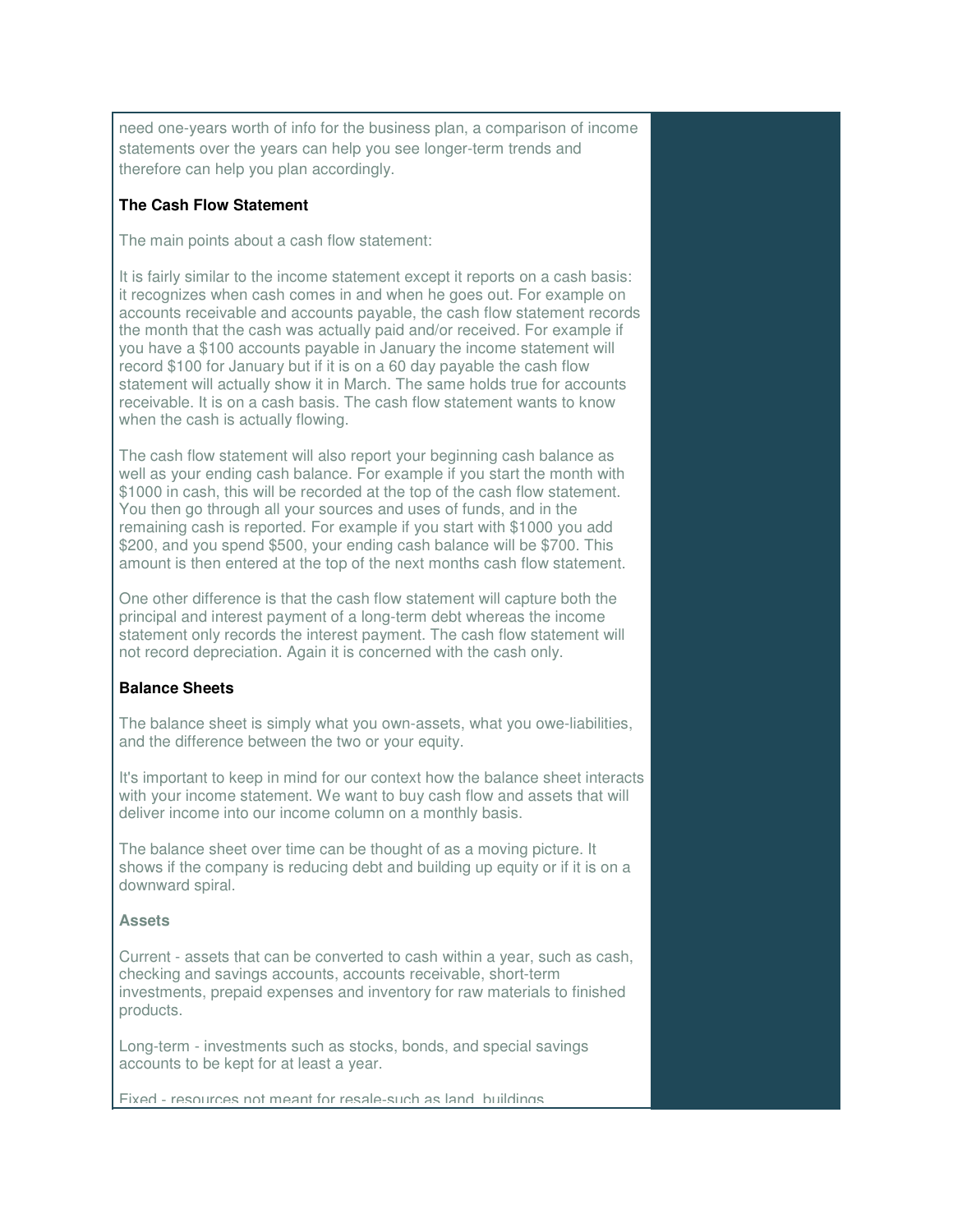need one-years worth of info for the business plan, a comparison of income statements over the years can help you see longer-term trends and therefore can help you plan accordingly.

# **The Cash Flow Statement**

The main points about a cash flow statement:

It is fairly similar to the income statement except it reports on a cash basis: it recognizes when cash comes in and when he goes out. For example on accounts receivable and accounts payable, the cash flow statement records the month that the cash was actually paid and/or received. For example if you have a \$100 accounts payable in January the income statement will record \$100 for January but if it is on a 60 day payable the cash flow statement will actually show it in March. The same holds true for accounts receivable. It is on a cash basis. The cash flow statement wants to know when the cash is actually flowing.

The cash flow statement will also report your beginning cash balance as well as your ending cash balance. For example if you start the month with \$1000 in cash, this will be recorded at the top of the cash flow statement. You then go through all your sources and uses of funds, and in the remaining cash is reported. For example if you start with \$1000 you add \$200, and you spend \$500, your ending cash balance will be \$700. This amount is then entered at the top of the next months cash flow statement.

One other difference is that the cash flow statement will capture both the principal and interest payment of a long-term debt whereas the income statement only records the interest payment. The cash flow statement will not record depreciation. Again it is concerned with the cash only.

# **Balance Sheets**

The balance sheet is simply what you own-assets, what you owe-liabilities, and the difference between the two or your equity.

It's important to keep in mind for our context how the balance sheet interacts with your income statement. We want to buy cash flow and assets that will deliver income into our income column on a monthly basis.

The balance sheet over time can be thought of as a moving picture. It shows if the company is reducing debt and building up equity or if it is on a downward spiral.

#### **Assets**

Current - assets that can be converted to cash within a year, such as cash, checking and savings accounts, accounts receivable, short-term investments, prepaid expenses and inventory for raw materials to finished products.

Long-term - investments such as stocks, bonds, and special savings accounts to be kept for at least a year.

Fixed - resources not meant for resale-such as land, buildings,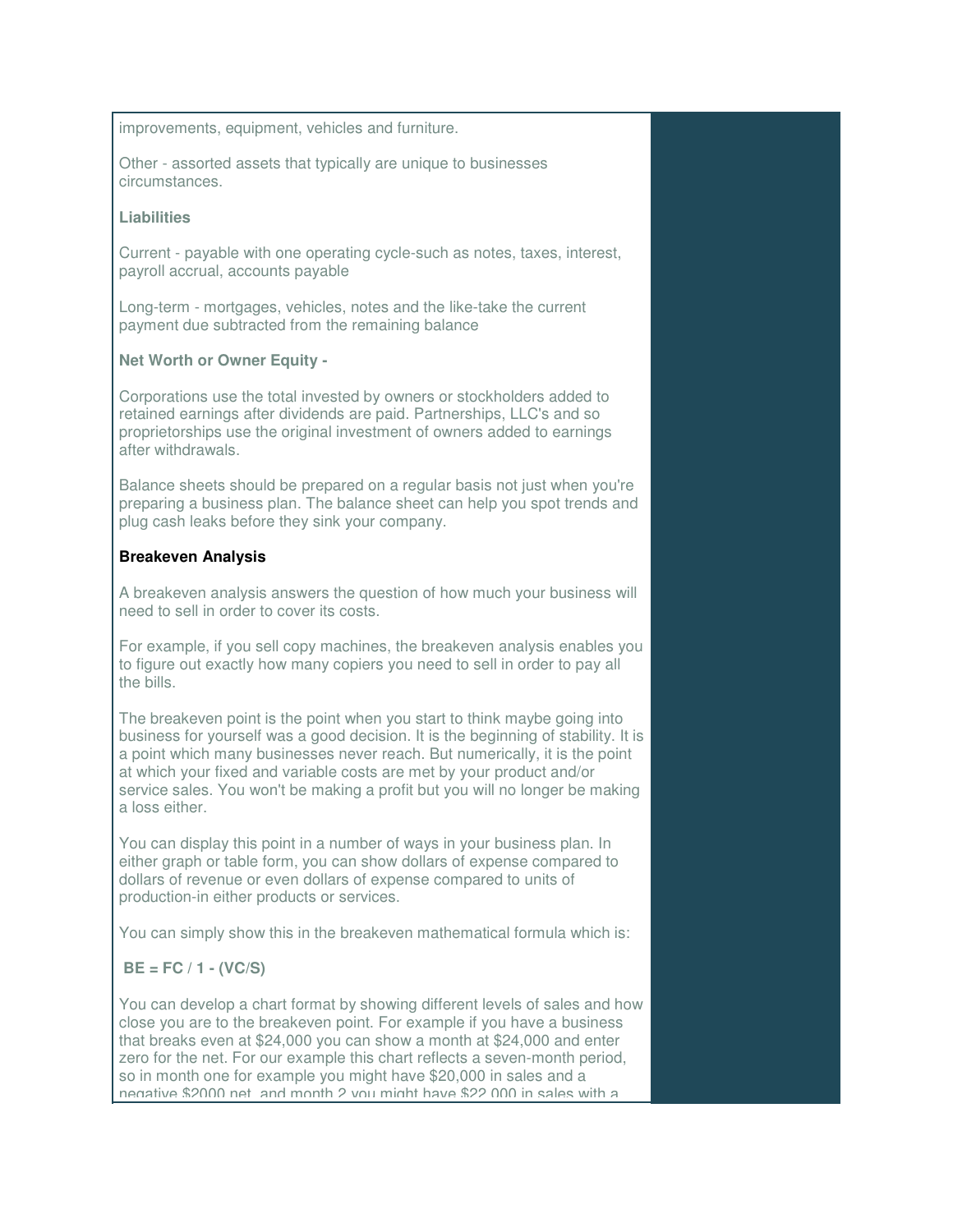improvements, equipment, vehicles and furniture.

Other - assorted assets that typically are unique to businesses circumstances.

#### **Liabilities**

Current - payable with one operating cycle-such as notes, taxes, interest, payroll accrual, accounts payable

Long-term - mortgages, vehicles, notes and the like-take the current payment due subtracted from the remaining balance

# **Net Worth or Owner Equity -**

Corporations use the total invested by owners or stockholders added to retained earnings after dividends are paid. Partnerships, LLC's and so proprietorships use the original investment of owners added to earnings after withdrawals.

Balance sheets should be prepared on a regular basis not just when you're preparing a business plan. The balance sheet can help you spot trends and plug cash leaks before they sink your company.

# **Breakeven Analysis**

A breakeven analysis answers the question of how much your business will need to sell in order to cover its costs.

For example, if you sell copy machines, the breakeven analysis enables you to figure out exactly how many copiers you need to sell in order to pay all the bills.

The breakeven point is the point when you start to think maybe going into business for yourself was a good decision. It is the beginning of stability. It is a point which many businesses never reach. But numerically, it is the point at which your fixed and variable costs are met by your product and/or service sales. You won't be making a profit but you will no longer be making a loss either.

You can display this point in a number of ways in your business plan. In either graph or table form, you can show dollars of expense compared to dollars of revenue or even dollars of expense compared to units of production-in either products or services.

You can simply show this in the breakeven mathematical formula which is:

# **BE = FC / 1 - (VC/S)**

You can develop a chart format by showing different levels of sales and how close you are to the breakeven point. For example if you have a business that breaks even at \$24,000 you can show a month at \$24,000 and enter zero for the net. For our example this chart reflects a seven-month period, so in month one for example you might have \$20,000 in sales and a negative \$2000 net, and month 2 you might have \$22,000 in sales with a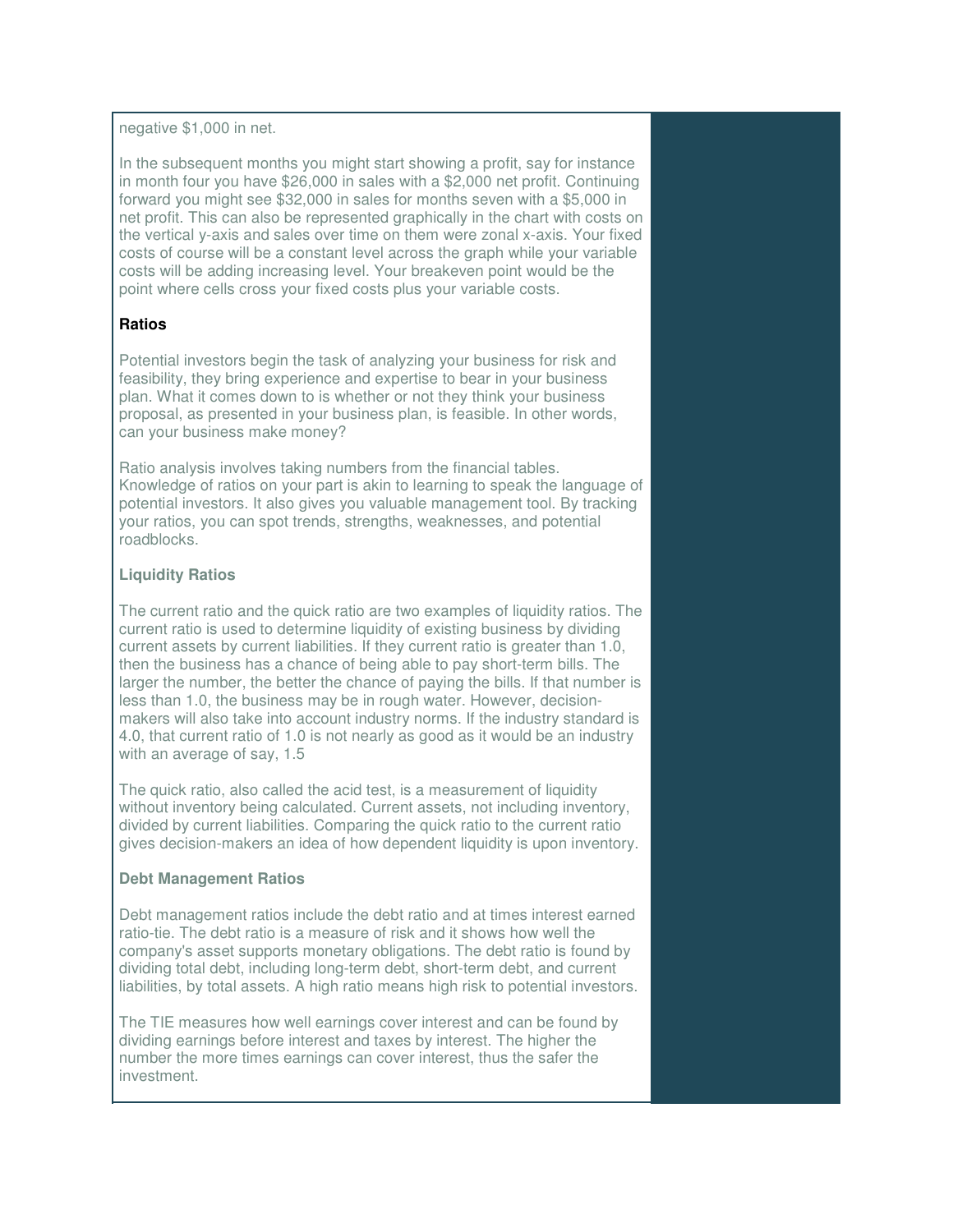negative \$1,000 in net.

In the subsequent months you might start showing a profit, say for instance in month four you have \$26,000 in sales with a \$2,000 net profit. Continuing forward you might see \$32,000 in sales for months seven with a \$5,000 in net profit. This can also be represented graphically in the chart with costs on the vertical y-axis and sales over time on them were zonal x-axis. Your fixed costs of course will be a constant level across the graph while your variable costs will be adding increasing level. Your breakeven point would be the point where cells cross your fixed costs plus your variable costs.

# **Ratios**

Potential investors begin the task of analyzing your business for risk and feasibility, they bring experience and expertise to bear in your business plan. What it comes down to is whether or not they think your business proposal, as presented in your business plan, is feasible. In other words, can your business make money?

Ratio analysis involves taking numbers from the financial tables. Knowledge of ratios on your part is akin to learning to speak the language of potential investors. It also gives you valuable management tool. By tracking your ratios, you can spot trends, strengths, weaknesses, and potential roadblocks.

#### **Liquidity Ratios**

The current ratio and the quick ratio are two examples of liquidity ratios. The current ratio is used to determine liquidity of existing business by dividing current assets by current liabilities. If they current ratio is greater than 1.0, then the business has a chance of being able to pay short-term bills. The larger the number, the better the chance of paying the bills. If that number is less than 1.0, the business may be in rough water. However, decisionmakers will also take into account industry norms. If the industry standard is 4.0, that current ratio of 1.0 is not nearly as good as it would be an industry with an average of say, 1.5

The quick ratio, also called the acid test, is a measurement of liquidity without inventory being calculated. Current assets, not including inventory, divided by current liabilities. Comparing the quick ratio to the current ratio gives decision-makers an idea of how dependent liquidity is upon inventory.

#### **Debt Management Ratios**

 $\overline{a}$ 

Debt management ratios include the debt ratio and at times interest earned ratio-tie. The debt ratio is a measure of risk and it shows how well the company's asset supports monetary obligations. The debt ratio is found by dividing total debt, including long-term debt, short-term debt, and current liabilities, by total assets. A high ratio means high risk to potential investors.

The TIE measures how well earnings cover interest and can be found by dividing earnings before interest and taxes by interest. The higher the number the more times earnings can cover interest, thus the safer the investment.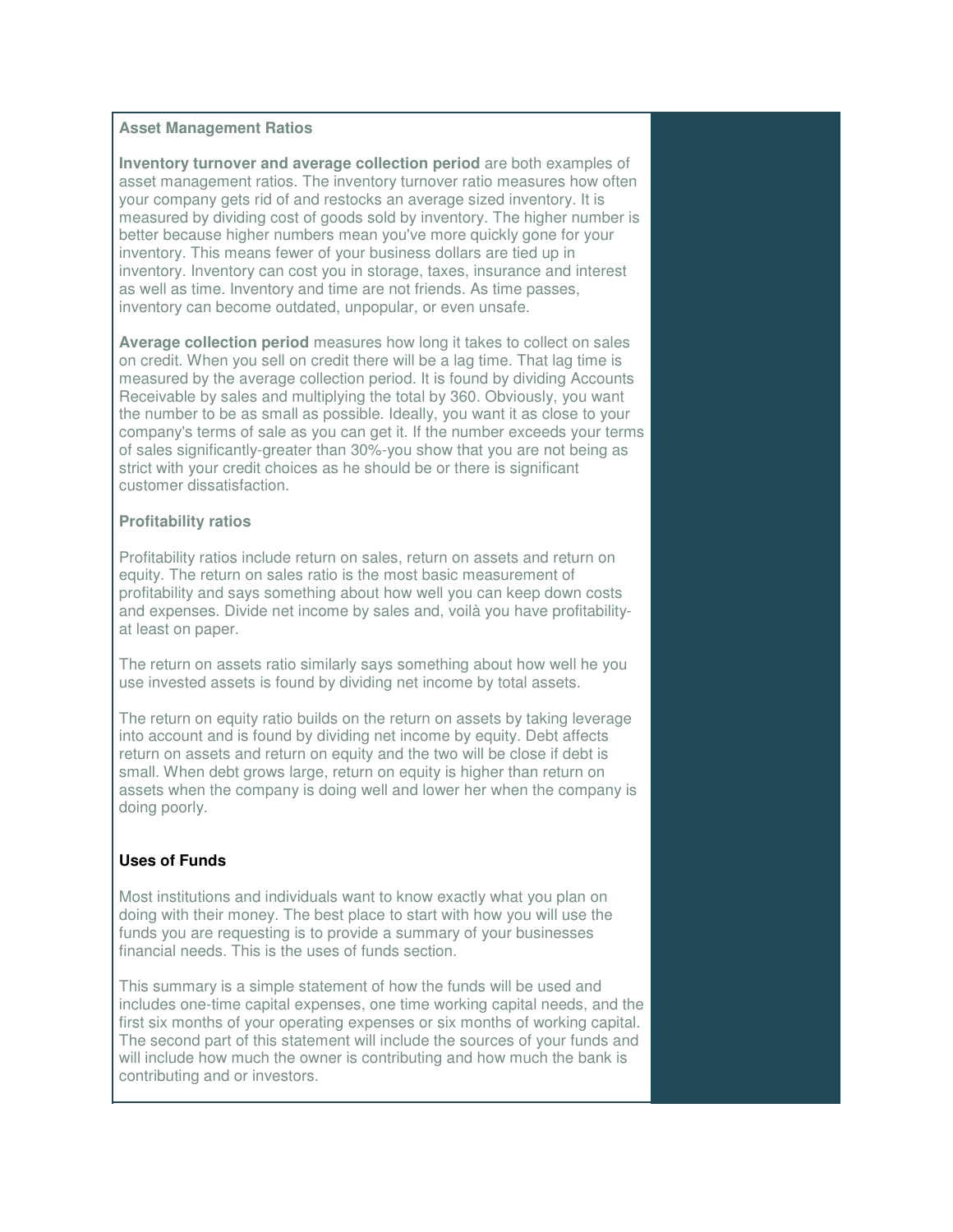#### **Asset Management Ratios**

**Inventory turnover and average collection period** are both examples of asset management ratios. The inventory turnover ratio measures how often your company gets rid of and restocks an average sized inventory. It is measured by dividing cost of goods sold by inventory. The higher number is better because higher numbers mean you've more quickly gone for your inventory. This means fewer of your business dollars are tied up in inventory. Inventory can cost you in storage, taxes, insurance and interest as well as time. Inventory and time are not friends. As time passes, inventory can become outdated, unpopular, or even unsafe.

**Average collection period** measures how long it takes to collect on sales on credit. When you sell on credit there will be a lag time. That lag time is measured by the average collection period. It is found by dividing Accounts Receivable by sales and multiplying the total by 360. Obviously, you want the number to be as small as possible. Ideally, you want it as close to your company's terms of sale as you can get it. If the number exceeds your terms of sales significantly-greater than 30%-you show that you are not being as strict with your credit choices as he should be or there is significant customer dissatisfaction.

## **Profitability ratios**

Profitability ratios include return on sales, return on assets and return on equity. The return on sales ratio is the most basic measurement of profitability and says something about how well you can keep down costs and expenses. Divide net income by sales and, voilà you have profitabilityat least on paper.

The return on assets ratio similarly says something about how well he you use invested assets is found by dividing net income by total assets.

The return on equity ratio builds on the return on assets by taking leverage into account and is found by dividing net income by equity. Debt affects return on assets and return on equity and the two will be close if debt is small. When debt grows large, return on equity is higher than return on assets when the company is doing well and lower her when the company is doing poorly.

# **Uses of Funds**

 $\overline{a}$ 

Most institutions and individuals want to know exactly what you plan on doing with their money. The best place to start with how you will use the funds you are requesting is to provide a summary of your businesses financial needs. This is the uses of funds section.

This summary is a simple statement of how the funds will be used and includes one-time capital expenses, one time working capital needs, and the first six months of your operating expenses or six months of working capital. The second part of this statement will include the sources of your funds and will include how much the owner is contributing and how much the bank is contributing and or investors.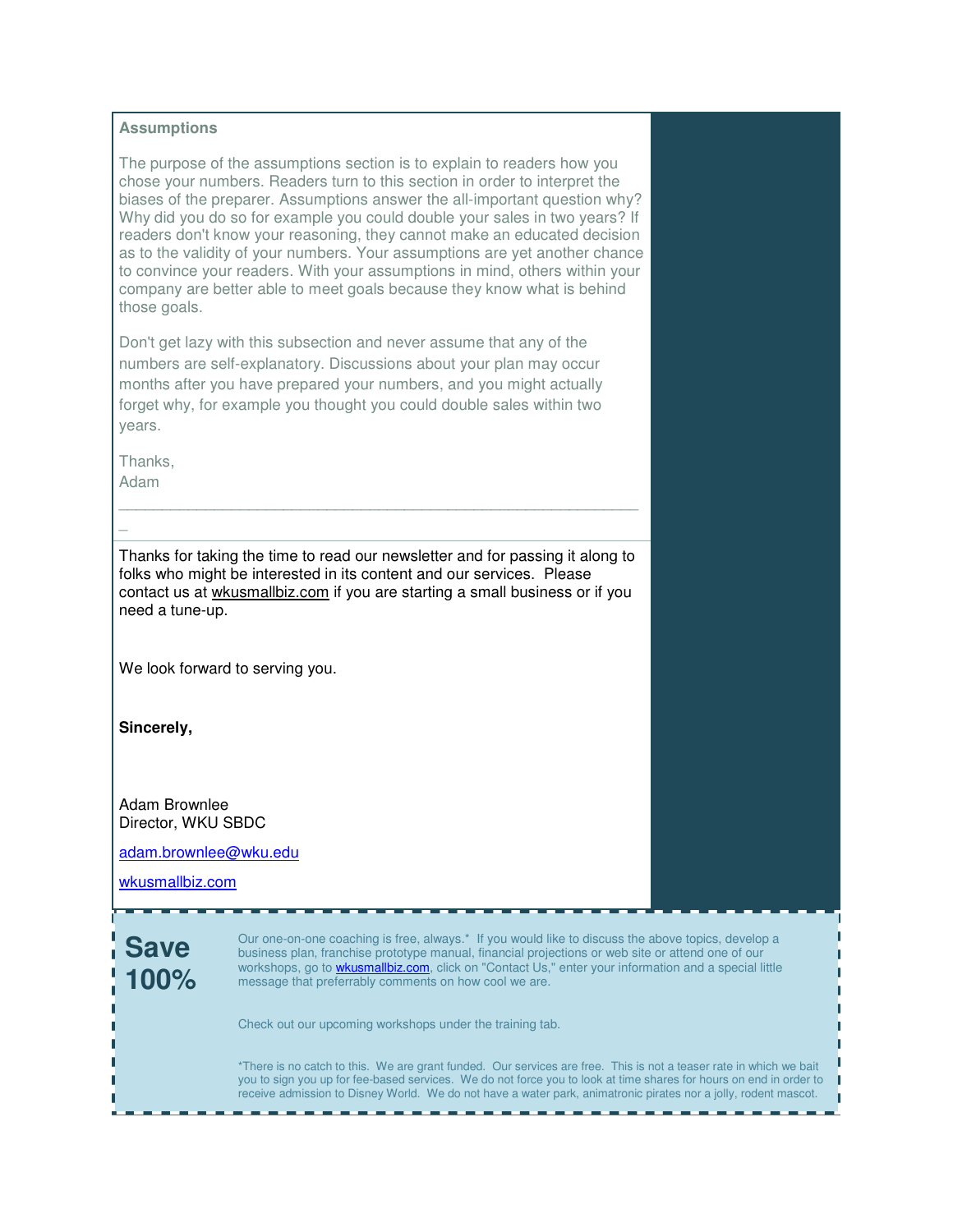#### **Assumptions**

The purpose of the assumptions section is to explain to readers how you chose your numbers. Readers turn to this section in order to interpret the biases of the preparer. Assumptions answer the all-important question why? Why did you do so for example you could double your sales in two years? If readers don't know your reasoning, they cannot make an educated decision as to the validity of your numbers. Your assumptions are yet another chance to convince your readers. With your assumptions in mind, others within your company are better able to meet goals because they know what is behind those goals.

Don't get lazy with this subsection and never assume that any of the numbers are self-explanatory. Discussions about your plan may occur months after you have prepared your numbers, and you might actually forget why, for example you thought you could double sales within two years.

Thanks,

Adam

 $\overline{a}$ 

Thanks for taking the time to read our newsletter and for passing it along to folks who might be interested in its content and our services. Please contact us at wkusmallbiz.com if you are starting a small business or if you need a tune-up.

\_\_\_\_\_\_\_\_\_\_\_\_\_\_\_\_\_\_\_\_\_\_\_\_\_\_\_\_\_\_\_\_\_\_\_\_\_\_\_\_\_\_\_\_\_\_\_\_\_\_\_\_\_\_\_\_\_\_\_\_

We look forward to serving you.

**Sincerely,**

Adam Brownlee Director, WKU SBDC

adam.brownlee@wku.edu

wkusmallbiz.com

**Save 100%**

Our one-on-one coaching is free, always.\* If you would like to discuss the above topics, develop a business plan, franchise prototype manual, financial projections or web site or attend one of our workshops, go to **wkusmallbiz.com**, click on "Contact Us," enter your information and a special little message that preferrably comments on how cool we are.

Check out our upcoming workshops under the training tab.

\*There is no catch to this. We are grant funded. Our services are free. This is not a teaser rate in which we bait you to sign you up for fee-based services. We do not force you to look at time shares for hours on end in order to receive admission to Disney World. We do not have a water park, animatronic pirates nor a jolly, rodent mascot.